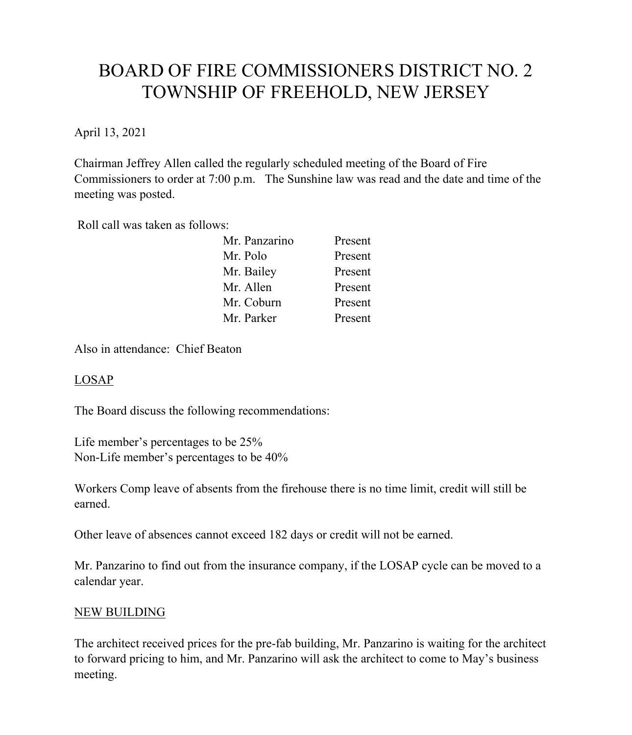# BOARD OF FIRE COMMISSIONERS DISTRICT NO. 2 TOWNSHIP OF FREEHOLD, NEW JERSEY

April 13, 2021

Chairman Jeffrey Allen called the regularly scheduled meeting of the Board of Fire Commissioners to order at 7:00 p.m. The Sunshine law was read and the date and time of the meeting was posted.

Roll call was taken as follows:

| Mr. Panzarino | Present |
|---------------|---------|
| Mr. Polo      | Present |
| Mr. Bailey    | Present |
| Mr. Allen     | Present |
| Mr. Coburn    | Present |
| Mr. Parker    | Present |

Also in attendance: Chief Beaton

### LOSAP

The Board discuss the following recommendations:

Life member's percentages to be 25% Non-Life member's percentages to be 40%

Workers Comp leave of absents from the firehouse there is no time limit, credit will still be earned.

Other leave of absences cannot exceed 182 days or credit will not be earned.

Mr. Panzarino to find out from the insurance company, if the LOSAP cycle can be moved to a calendar year.

### NEW BUILDING

The architect received prices for the pre-fab building, Mr. Panzarino is waiting for the architect to forward pricing to him, and Mr. Panzarino will ask the architect to come to May's business meeting.